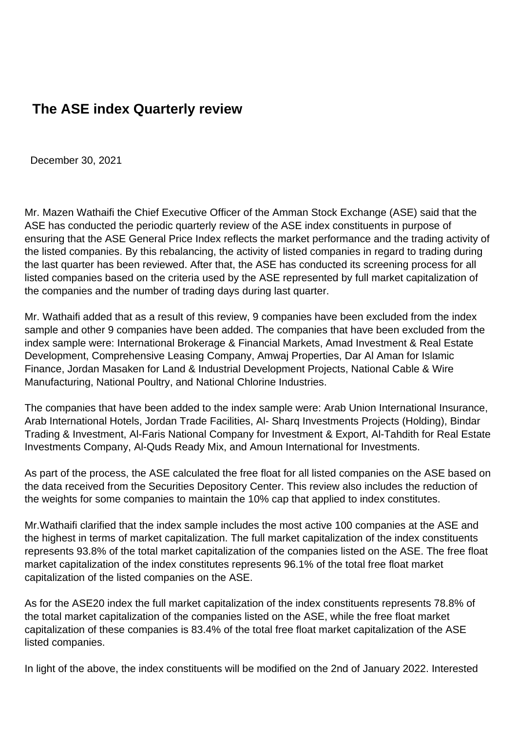## **The ASE index Quarterly review**

December 30, 2021

Mr. Mazen Wathaifi the Chief Executive Officer of the Amman Stock Exchange (ASE) said that the ASE has conducted the periodic quarterly review of the ASE index constituents in purpose of ensuring that the ASE General Price Index reflects the market performance and the trading activity of the listed companies. By this rebalancing, the activity of listed companies in regard to trading during the last quarter has been reviewed. After that, the ASE has conducted its screening process for all listed companies based on the criteria used by the ASE represented by full market capitalization of the companies and the number of trading days during last quarter.

Mr. Wathaifi added that as a result of this review, 9 companies have been excluded from the index sample and other 9 companies have been added. The companies that have been excluded from the index sample were: International Brokerage & Financial Markets, Amad Investment & Real Estate Development, Comprehensive Leasing Company, Amwaj Properties, Dar Al Aman for Islamic Finance, Jordan Masaken for Land & Industrial Development Projects, National Cable & Wire Manufacturing, National Poultry, and National Chlorine Industries.

The companies that have been added to the index sample were: Arab Union International Insurance, Arab International Hotels, Jordan Trade Facilities, Al- Sharq Investments Projects (Holding), Bindar Trading & Investment, Al-Faris National Company for Investment & Export, Al-Tahdith for Real Estate Investments Company, Al-Quds Ready Mix, and Amoun International for Investments.

As part of the process, the ASE calculated the free float for all listed companies on the ASE based on the data received from the Securities Depository Center. This review also includes the reduction of the weights for some companies to maintain the 10% cap that applied to index constitutes.

Mr.Wathaifi clarified that the index sample includes the most active 100 companies at the ASE and the highest in terms of market capitalization. The full market capitalization of the index constituents represents 93.8% of the total market capitalization of the companies listed on the ASE. The free float market capitalization of the index constitutes represents 96.1% of the total free float market capitalization of the listed companies on the ASE.

As for the ASE20 index the full market capitalization of the index constituents represents 78.8% of the total market capitalization of the companies listed on the ASE, while the free float market capitalization of these companies is 83.4% of the total free float market capitalization of the ASE listed companies.

In light of the above, the index constituents will be modified on the 2nd of January 2022. Interested